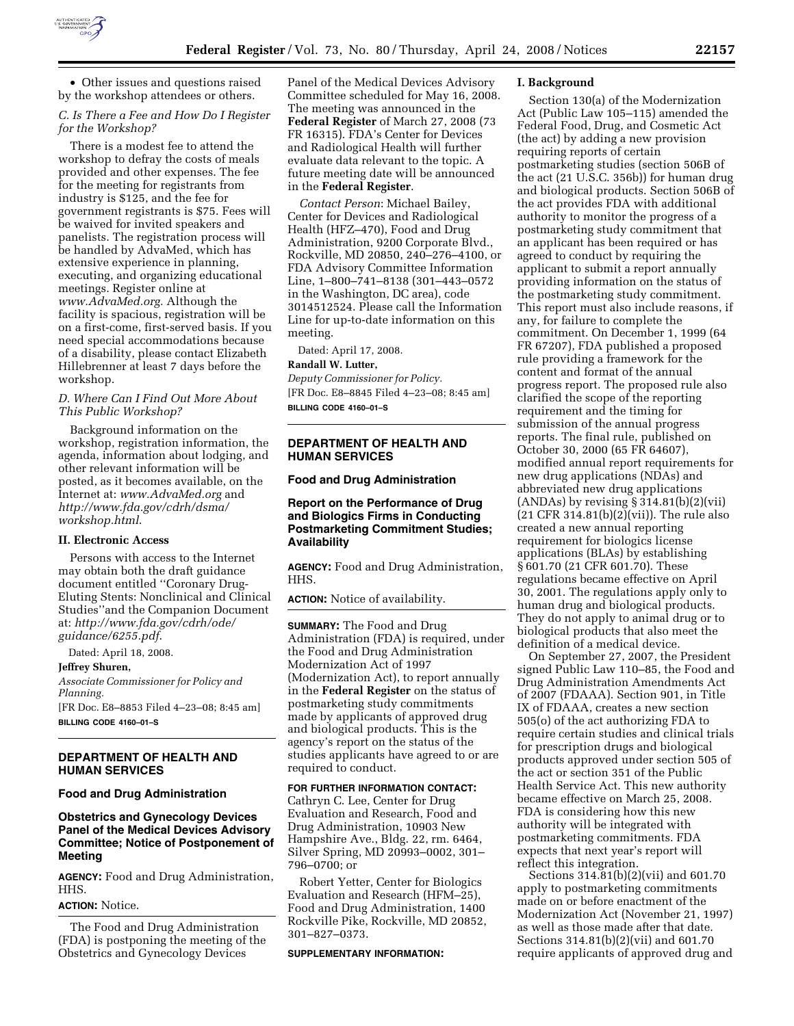

• Other issues and questions raised by the workshop attendees or others.

## *C. Is There a Fee and How Do I Register for the Workshop?*

There is a modest fee to attend the workshop to defray the costs of meals provided and other expenses. The fee for the meeting for registrants from industry is \$125, and the fee for government registrants is \$75. Fees will be waived for invited speakers and panelists. The registration process will be handled by AdvaMed, which has extensive experience in planning, executing, and organizing educational meetings. Register online at *www.AdvaMed.org.* Although the facility is spacious, registration will be on a first-come, first-served basis. If you need special accommodations because of a disability, please contact Elizabeth Hillebrenner at least 7 days before the workshop.

## *D. Where Can I Find Out More About This Public Workshop?*

Background information on the workshop, registration information, the agenda, information about lodging, and other relevant information will be posted, as it becomes available, on the Internet at: *www.AdvaMed.org* and *http://www.fda.gov/cdrh/dsma/ workshop.html*.

## **II. Electronic Access**

Persons with access to the Internet may obtain both the draft guidance document entitled ''Coronary Drug-Eluting Stents: Nonclinical and Clinical Studies''and the Companion Document at: *http://www.fda.gov/cdrh/ode/ guidance/6255.pdf*.

Dated: April 18, 2008.

#### **Jeffrey Shuren,**

*Associate Commissioner for Policy and Planning.* 

[FR Doc. E8–8853 Filed 4–23–08; 8:45 am] **BILLING CODE 4160–01–S** 

## **DEPARTMENT OF HEALTH AND HUMAN SERVICES**

### **Food and Drug Administration**

# **Obstetrics and Gynecology Devices Panel of the Medical Devices Advisory Committee; Notice of Postponement of Meeting**

**AGENCY:** Food and Drug Administration, HHS.

# **ACTION:** Notice.

The Food and Drug Administration (FDA) is postponing the meeting of the Obstetrics and Gynecology Devices

Panel of the Medical Devices Advisory Committee scheduled for May 16, 2008. The meeting was announced in the **Federal Register** of March 27, 2008 (73 FR 16315). FDA's Center for Devices and Radiological Health will further evaluate data relevant to the topic. A future meeting date will be announced in the **Federal Register**.

*Contact Person*: Michael Bailey, Center for Devices and Radiological Health (HFZ–470), Food and Drug Administration, 9200 Corporate Blvd., Rockville, MD 20850, 240–276–4100, or FDA Advisory Committee Information Line, 1–800–741–8138 (301–443–0572 in the Washington, DC area), code 3014512524. Please call the Information Line for up-to-date information on this meeting.

Dated: April 17, 2008.

#### **Randall W. Lutter,**

*Deputy Commissioner for Policy.*  [FR Doc. E8–8845 Filed 4–23–08; 8:45 am] **BILLING CODE 4160–01–S** 

## **DEPARTMENT OF HEALTH AND HUMAN SERVICES**

### **Food and Drug Administration**

## **Report on the Performance of Drug and Biologics Firms in Conducting Postmarketing Commitment Studies; Availability**

**AGENCY:** Food and Drug Administration, HHS.

**ACTION:** Notice of availability.

**SUMMARY:** The Food and Drug Administration (FDA) is required, under the Food and Drug Administration Modernization Act of 1997 (Modernization Act), to report annually in the **Federal Register** on the status of postmarketing study commitments made by applicants of approved drug and biological products. This is the agency's report on the status of the studies applicants have agreed to or are required to conduct.

### **FOR FURTHER INFORMATION CONTACT:**

Cathryn C. Lee, Center for Drug Evaluation and Research, Food and Drug Administration, 10903 New Hampshire Ave., Bldg. 22, rm. 6464, Silver Spring, MD 20993–0002, 301– 796–0700; or

Robert Yetter, Center for Biologics Evaluation and Research (HFM–25), Food and Drug Administration, 1400 Rockville Pike, Rockville, MD 20852, 301–827–0373.

#### **SUPPLEMENTARY INFORMATION:**

#### **I. Background**

Section 130(a) of the Modernization Act (Public Law 105–115) amended the Federal Food, Drug, and Cosmetic Act (the act) by adding a new provision requiring reports of certain postmarketing studies (section 506B of the act (21 U.S.C. 356b)) for human drug and biological products. Section 506B of the act provides FDA with additional authority to monitor the progress of a postmarketing study commitment that an applicant has been required or has agreed to conduct by requiring the applicant to submit a report annually providing information on the status of the postmarketing study commitment. This report must also include reasons, if any, for failure to complete the commitment. On December 1, 1999 (64 FR 67207), FDA published a proposed rule providing a framework for the content and format of the annual progress report. The proposed rule also clarified the scope of the reporting requirement and the timing for submission of the annual progress reports. The final rule, published on October 30, 2000 (65 FR 64607), modified annual report requirements for new drug applications (NDAs) and abbreviated new drug applications  $(ANDAs)$  by revising  $\S 314.81(b)(2)(vii)$ (21 CFR 314.81(b)(2)(vii)). The rule also created a new annual reporting requirement for biologics license applications (BLAs) by establishing § 601.70 (21 CFR 601.70). These regulations became effective on April 30, 2001. The regulations apply only to human drug and biological products. They do not apply to animal drug or to biological products that also meet the definition of a medical device.

On September 27, 2007, the President signed Public Law 110–85, the Food and Drug Administration Amendments Act of 2007 (FDAAA). Section 901, in Title IX of FDAAA, creates a new section 505(o) of the act authorizing FDA to require certain studies and clinical trials for prescription drugs and biological products approved under section 505 of the act or section 351 of the Public Health Service Act. This new authority became effective on March 25, 2008. FDA is considering how this new authority will be integrated with postmarketing commitments. FDA expects that next year's report will reflect this integration.

Sections 314.81(b)(2)(vii) and 601.70 apply to postmarketing commitments made on or before enactment of the Modernization Act (November 21, 1997) as well as those made after that date. Sections 314.81(b)(2)(vii) and 601.70 require applicants of approved drug and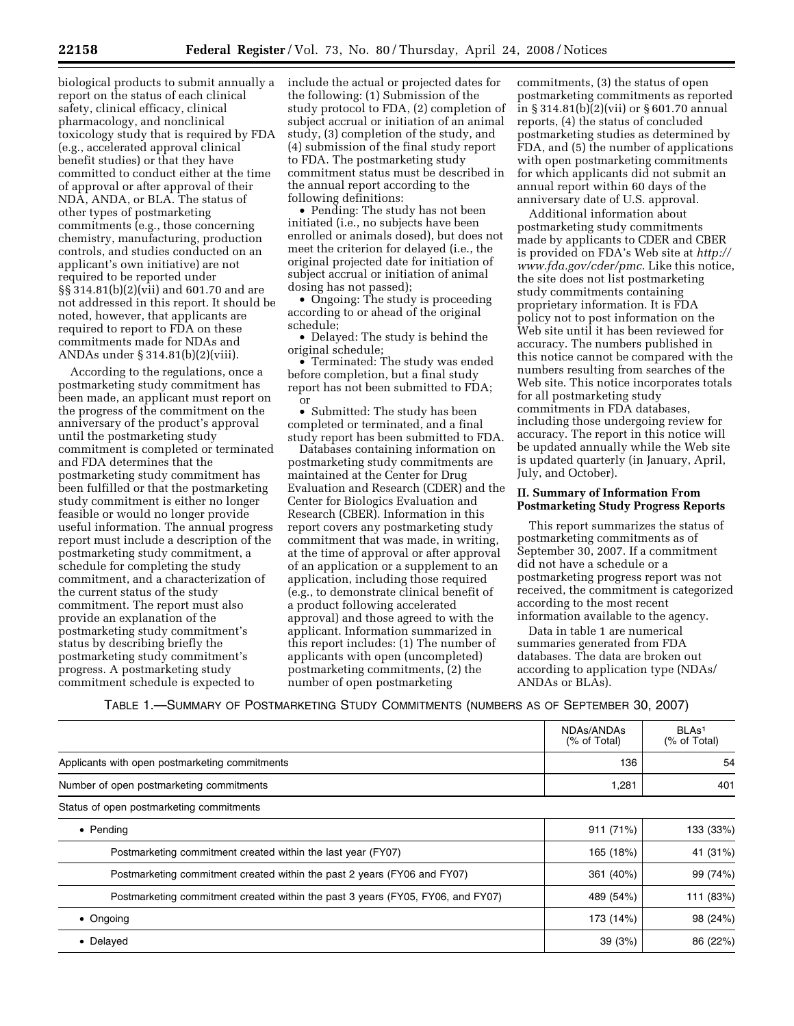biological products to submit annually a report on the status of each clinical safety, clinical efficacy, clinical pharmacology, and nonclinical toxicology study that is required by FDA (e.g., accelerated approval clinical benefit studies) or that they have committed to conduct either at the time of approval or after approval of their NDA, ANDA, or BLA. The status of other types of postmarketing commitments (e.g., those concerning chemistry, manufacturing, production controls, and studies conducted on an applicant's own initiative) are not required to be reported under §§ 314.81(b)(2)(vii) and 601.70 and are not addressed in this report. It should be noted, however, that applicants are required to report to FDA on these commitments made for NDAs and ANDAs under § 314.81(b)(2)(viii).

According to the regulations, once a postmarketing study commitment has been made, an applicant must report on the progress of the commitment on the anniversary of the product's approval until the postmarketing study commitment is completed or terminated and FDA determines that the postmarketing study commitment has been fulfilled or that the postmarketing study commitment is either no longer feasible or would no longer provide useful information. The annual progress report must include a description of the postmarketing study commitment, a schedule for completing the study commitment, and a characterization of the current status of the study commitment. The report must also provide an explanation of the postmarketing study commitment's status by describing briefly the postmarketing study commitment's progress. A postmarketing study commitment schedule is expected to

include the actual or projected dates for the following: (1) Submission of the study protocol to FDA, (2) completion of subject accrual or initiation of an animal study, (3) completion of the study, and (4) submission of the final study report to FDA. The postmarketing study commitment status must be described in the annual report according to the following definitions:

• Pending: The study has not been initiated (i.e., no subjects have been enrolled or animals dosed), but does not meet the criterion for delayed (i.e., the original projected date for initiation of subject accrual or initiation of animal dosing has not passed);

• Ongoing: The study is proceeding according to or ahead of the original schedule;

• Delayed: The study is behind the original schedule;

• Terminated: The study was ended before completion, but a final study report has not been submitted to FDA; or

• Submitted: The study has been completed or terminated, and a final study report has been submitted to FDA.

Databases containing information on postmarketing study commitments are maintained at the Center for Drug Evaluation and Research (CDER) and the Center for Biologics Evaluation and Research (CBER). Information in this report covers any postmarketing study commitment that was made, in writing, at the time of approval or after approval of an application or a supplement to an application, including those required (e.g., to demonstrate clinical benefit of a product following accelerated approval) and those agreed to with the applicant. Information summarized in this report includes: (1) The number of applicants with open (uncompleted) postmarketing commitments, (2) the number of open postmarketing

commitments, (3) the status of open postmarketing commitments as reported in § 314.81(b)(2)(vii) or § 601.70 annual reports, (4) the status of concluded postmarketing studies as determined by FDA, and (5) the number of applications with open postmarketing commitments for which applicants did not submit an annual report within 60 days of the anniversary date of U.S. approval.

Additional information about postmarketing study commitments made by applicants to CDER and CBER is provided on FDA's Web site at *http:// www.fda.gov/cder/pmc*. Like this notice, the site does not list postmarketing study commitments containing proprietary information. It is FDA policy not to post information on the Web site until it has been reviewed for accuracy. The numbers published in this notice cannot be compared with the numbers resulting from searches of the Web site. This notice incorporates totals for all postmarketing study commitments in FDA databases, including those undergoing review for accuracy. The report in this notice will be updated annually while the Web site is updated quarterly (in January, April, July, and October).

## **II. Summary of Information From Postmarketing Study Progress Reports**

This report summarizes the status of postmarketing commitments as of September 30, 2007. If a commitment did not have a schedule or a postmarketing progress report was not received, the commitment is categorized according to the most recent information available to the agency.

Data in table 1 are numerical summaries generated from FDA databases. The data are broken out according to application type (NDAs/ ANDAs or BLAs).

TABLE 1.—SUMMARY OF POSTMARKETING STUDY COMMITMENTS (NUMBERS AS OF SEPTEMBER 30, 2007)

|                                                                                 | NDAs/ANDAs<br>(% of Total) | BLA <sub>s1</sub><br>(% of Total) |
|---------------------------------------------------------------------------------|----------------------------|-----------------------------------|
| Applicants with open postmarketing commitments                                  | 136                        | 54                                |
| Number of open postmarketing commitments                                        | 1,281                      | 401                               |
| Status of open postmarketing commitments                                        |                            |                                   |
| $\bullet$ Pending                                                               | 911 (71%)                  | 133 (33%)                         |
| Postmarketing commitment created within the last year (FY07)                    | 165 (18%)                  | 41 (31%)                          |
| Postmarketing commitment created within the past 2 years (FY06 and FY07)        | 361 (40%)                  | 99 (74%)                          |
| Postmarketing commitment created within the past 3 years (FY05, FY06, and FY07) | 489 (54%)                  | 111 (83%)                         |
| $\bullet$ Ongoing                                                               | 173 (14%)                  | 98 (24%)                          |
| • Delayed                                                                       | 39(3%)                     | 86 (22%)                          |